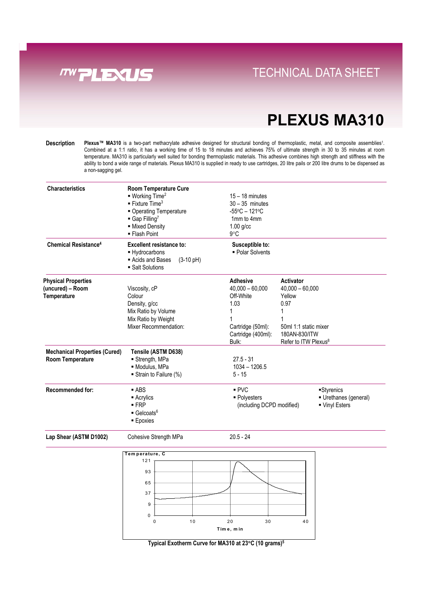

### **Direct Links Convenience With Tray System** TECHNICAL DATA SHEET

## **PLEXUS MA310**

**Description** Plexus™ MA310 is a two-part methacrylate adhesive designed for structural bonding of thermoplastic, metal, and composite assemblies<sup>1</sup>. Combined at a 1:1 ratio, it has a working time of 15 to 18 minutes and achieves 75% of ultimate strength in 30 to 35 minutes at room temperature. MA310 is particularly well suited for bonding thermoplastic materials. This adhesive combines high strength and stiffness with the ability to bond a wide range of materials. Plexus MA310 is supplied in ready to use cartridges, 20 litre pails or 200 litre drums to be dispensed as a non-sagging gel.

| <b>Characteristics</b>                                        | <b>Room Temperature Cure</b><br>$\blacksquare$ Working Time <sup>2</sup><br>$\blacksquare$ Fixture Time <sup>3</sup><br>• Operating Temperature<br>$\blacksquare$ Gap Filling <sup>7</sup><br>- Mixed Density<br>• Flash Point | $15 - 18$ minutes<br>$30 - 35$ minutes<br>$-55^{\circ}$ C - 121 $^{\circ}$ C<br>1mm to 4mm<br>$1.00$ g/cc<br>$9^{\circ}$ C |                                                                                                                                          |  |
|---------------------------------------------------------------|--------------------------------------------------------------------------------------------------------------------------------------------------------------------------------------------------------------------------------|----------------------------------------------------------------------------------------------------------------------------|------------------------------------------------------------------------------------------------------------------------------------------|--|
| <b>Chemical Resistance<sup>4</sup></b>                        | <b>Excellent resistance to:</b><br>- Hydrocarbons<br>Acids and Bases<br>$(3-10 \text{ pH})$<br>· Salt Solutions                                                                                                                | Susceptible to:<br>- Polar Solvents                                                                                        |                                                                                                                                          |  |
| <b>Physical Properties</b><br>(uncured) - Room<br>Temperature | Viscosity, cP<br>Colour<br>Density, g/cc<br>Mix Ratio by Volume<br>Mix Ratio by Weight<br>Mixer Recommendation:                                                                                                                | <b>Adhesive</b><br>$40,000 - 60,000$<br>Off-White<br>1.03<br>1<br>1<br>Cartridge (50ml):<br>Cartridge (400ml):<br>Bulk:    | Activator<br>$40,000 - 60,000$<br>Yellow<br>0.97<br>1<br>1<br>50ml 1:1 static mixer<br>180AN-830/ITW<br>Refer to ITW Plexus <sup>8</sup> |  |
| <b>Mechanical Properties (Cured)</b><br>Room Temperature      | Tensile (ASTM D638)<br>Strength, MPa<br>· Modulus, MPa<br>Strain to Failure (%)                                                                                                                                                | $27.5 - 31$<br>$1034 - 1206.5$<br>$5 - 15$                                                                                 |                                                                                                                                          |  |
| <b>Recommended for:</b>                                       | $-$ ABS<br>$\blacksquare$ Acrylics<br>$-FRP$<br>$\blacksquare$ Gelcoats <sup>6</sup><br><b>Epoxies</b>                                                                                                                         | PVC<br>Styrenics<br>- Polyesters<br>Urethanes (general)<br>(including DCPD modified)<br>■ Vinyl Esters                     |                                                                                                                                          |  |
| Lap Shear (ASTM D1002)                                        | Cohesive Strength MPa                                                                                                                                                                                                          | $20.5 - 24$                                                                                                                |                                                                                                                                          |  |
|                                                               | Temperature, C<br>121<br>93<br>65<br>37<br>9<br>0<br>10<br>$\pmb{0}$                                                                                                                                                           | 20<br>30<br>Time, min                                                                                                      | 40                                                                                                                                       |  |

**Typical Exotherm Curve for MA310 at 23**°**C (10 grams)5**